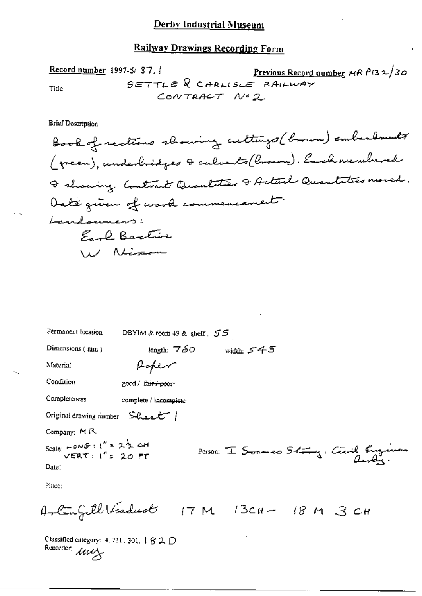Record number 1997-5/ 37.1  
File 
$$
SETTLE R CHRLISLE RALLWAY
$$
  
 $COWTRACT N92$ 

**Brief Description** 

 $-$ 

| Permanent location                                                                       | DBYIM & room 49 & shelf: 55 |                             |                                         |
|------------------------------------------------------------------------------------------|-----------------------------|-----------------------------|-----------------------------------------|
| Dimensions $(mn)$                                                                        | length: $760$               | width: $545$                |                                         |
| Material                                                                                 | Hoper                       |                             |                                         |
| Condition                                                                                | good / fair / poor-         |                             |                                         |
| Completeness                                                                             | complete / incomplete-      |                             |                                         |
| Original drawing number $S$ -Lee $\ell$ <sup>-</sup> /                                   |                             |                             |                                         |
| Company: $M R$                                                                           |                             |                             |                                         |
| Scale: LONG: $1''$ = $2\frac{1}{2}$ cH<br>VERT: $1''$ = $20$ FT                          |                             |                             | Person: I Soames Sching, Civil Engeneer |
| Date:                                                                                    |                             |                             |                                         |
| Place:                                                                                   |                             |                             |                                         |
| Arlingill Viaduct                                                                        |                             | $17 M$ $13CH - 18 M$ 3 $CH$ |                                         |
| Classified category: $4.721$ , 301, $\downarrow$ $\dot{S}$ 2, $\bigcap$<br>Recorder: Muy |                             |                             |                                         |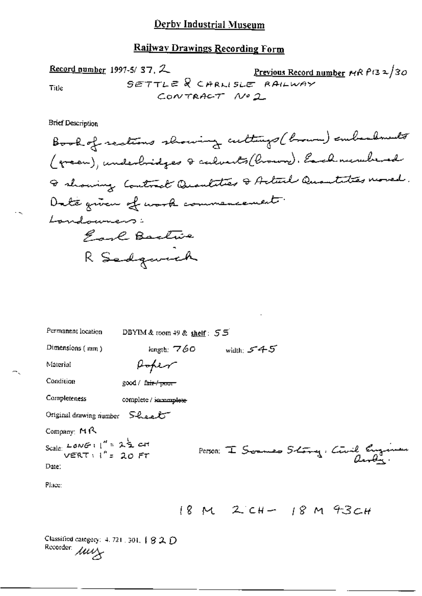**Brief Description** 

 $\ddot{\phantom{1}}$ 

| Permanent location                                                                                                                                  | DBYIM & toom 49 & shelf: $55$    |                           |                                         |
|-----------------------------------------------------------------------------------------------------------------------------------------------------|----------------------------------|---------------------------|-----------------------------------------|
| Dimensions $(mm)$                                                                                                                                   | length: $760\,$                  | <del>45 - width:</del>    |                                         |
| Material                                                                                                                                            | Hoper                            |                           |                                         |
| Condition                                                                                                                                           | $good /$ fair $\rightarrow$ poor |                           |                                         |
| Completeness                                                                                                                                        | complete / incomplete            |                           |                                         |
| Original drawing number $S$ leel                                                                                                                    |                                  |                           |                                         |
| Company: $M \uparrow$                                                                                                                               |                                  |                           |                                         |
| Scale: $LowG : \begin{pmatrix} u & 1 \end{pmatrix} = 2 \begin{pmatrix} 1 \end{pmatrix}$ cit<br>VERT : $\begin{pmatrix} u & 1 \end{pmatrix} = 20$ FT |                                  |                           | Person: I Scannes Story, Civil Engineer |
| Date:                                                                                                                                               |                                  |                           |                                         |
| Place:                                                                                                                                              |                                  |                           |                                         |
|                                                                                                                                                     |                                  | $18M$ 2 CH $-$ 18 M 43 CH |                                         |
| Classified category: $4.721.301.$ $920$<br>Recorder: Muy                                                                                            |                                  |                           |                                         |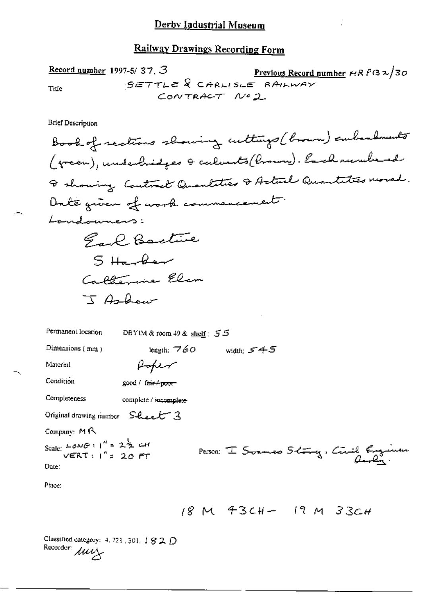Record number 1997-5/ 37. 3  
True  
100 The 
$$
SETTLE
$$
 2 CARLISE RAHWAY  
1010  
ConvTRACT 1002

÷,

**Brief Description** 

 $\leftarrow$  .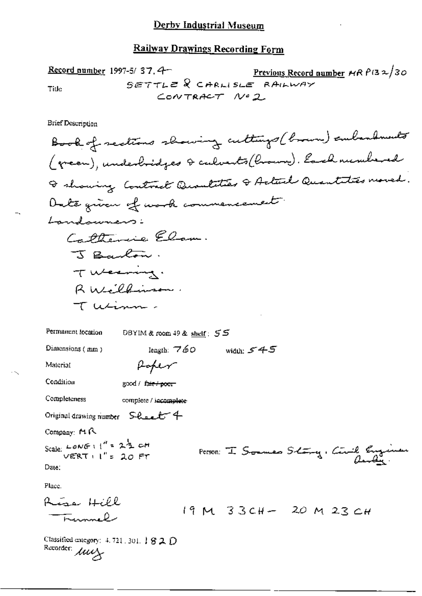Record number 1997-5/ 37.4  
\n
$$
\frac{3657712}{67712} = 8
$$
\n
$$
367712 = 8
$$
\n
$$
100
$$
\n
$$
101
$$
\n
$$
102
$$
\n
$$
103
$$
\n
$$
104
$$
\n
$$
200
$$

**Brief Description** 

 $-$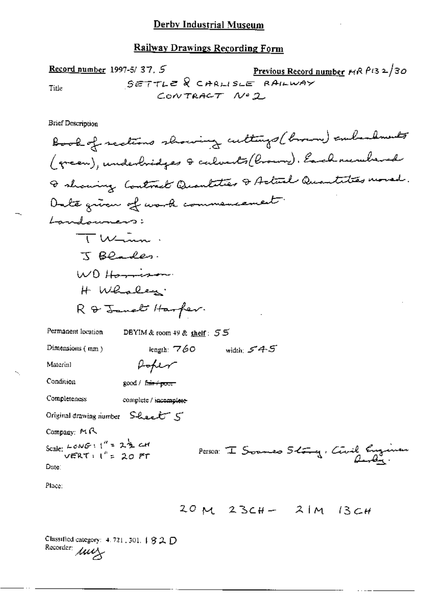97-5/37.5 Previous Record number MRP132/30<br>SETTLE & CARLISLE RAILWAY<br>CONTRACT Nº2 Record number 1997-5/37, 5 Title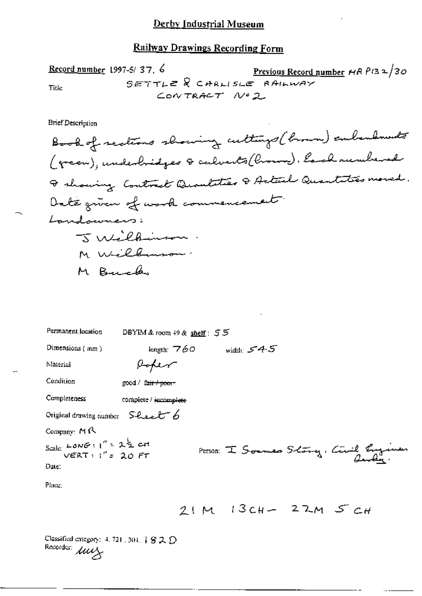#### Derby Industrial Museum

## Railway Drawings Recording Form

Record number 1997-5/37, 6  
\n
$$
\frac{\text{Previous Record number}}{\text{SETTLE}} \begin{array}{c}\n\text{CAPLLSLE} \\
\text{RAHWAY} \\
\text{COWTRACT} \\
\end{array}
$$

| Permanent location                                                         | DBYIM & room $49$ & shelf: $55$        |
|----------------------------------------------------------------------------|----------------------------------------|
| Dimensions (mm)                                                            | length: $760$ width: $545$             |
| Material                                                                   | Hoper                                  |
| Condition                                                                  | good / fair / poor-                    |
| Completeness                                                               | complete / incomplete                  |
| Original drawing number $S$ haal $S$                                       |                                        |
| Company: $M \beta$                                                         |                                        |
| Scale: $L$ <i>on</i> $G$ : $1'' = 2\frac{1}{2}$ cit<br>VERT: $1'' = 20$ FT | Person: I Soumes Story, Civil Engineer |
| Date:                                                                      |                                        |
| Place:                                                                     |                                        |
|                                                                            | $21M$ 13cH- 22M $5CH$                  |
| Classified entegory: $4, 721, 301, 482, 12$<br>Recorder: Muy               |                                        |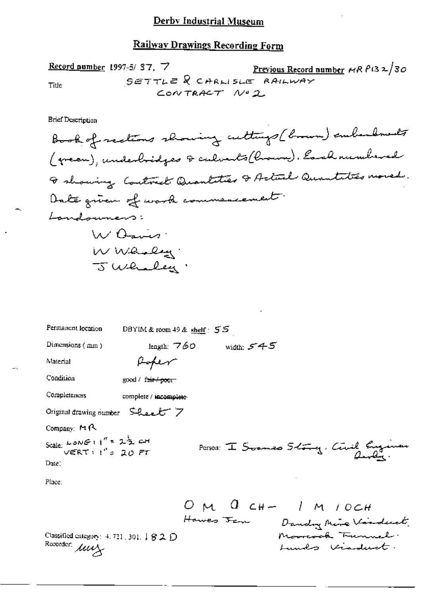| Permanent location                                                                                    | DBYIM & room $49$ & shelf: $55$ |                                                       |
|-------------------------------------------------------------------------------------------------------|---------------------------------|-------------------------------------------------------|
| Dimensions (mm)                                                                                       | length: 760                     | width: 545 $\,$                                       |
| Material                                                                                              | Hoper                           |                                                       |
| Condition                                                                                             | good / fair / poor              |                                                       |
| Completeness                                                                                          | complete / incomplete           |                                                       |
| Original drawing number Sheet 7                                                                       |                                 |                                                       |
| Company: $M \cap \mathbb{R}$                                                                          |                                 |                                                       |
| Scale: $L \circ N \in H'' = 2\frac{1}{2}$ and $V \in RT : H'' = 20$ FT                                |                                 | Person I Soames Stray, Circl Engineer                 |
| Date:                                                                                                 |                                 |                                                       |
| Place:                                                                                                |                                 |                                                       |
|                                                                                                       |                                 | OM Q CH- / M / OCH<br>Hawes Jan Dandry Mire Visituat. |
| Classified category: $4.721,301, \downarrow$ $\mathcal{G} \mathcal{L}$ $\mathcal{D}$<br>Recorder: Muy |                                 | Mooreook Tunnel.<br>undo vinduct.                     |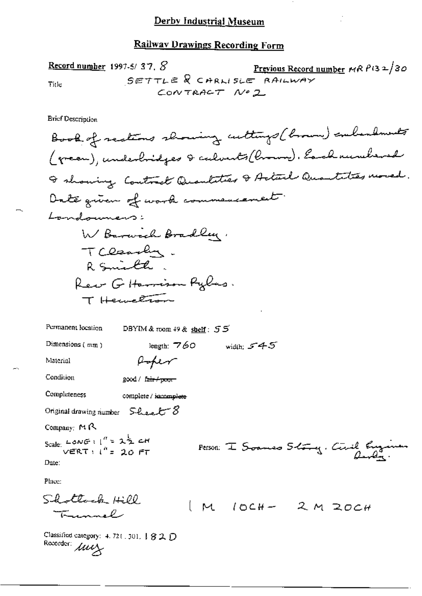Record number 1997-5/37,  $S$ Previous Record number MR  $P(32/30)$ SETTLE & CARLISLE RAILWAY **Title** CONTRACT Nº 2

**Brief Description** 

Book of realions showing cultures (brown) embandments (green), underbridges & calvests (brown). Each rundered I showing Control Quantities I Actual Quantities moved. Date given of work commencement. Landouners: W Barwich Bradley, TCleasen. R Smith. Rew Giftermison Pylus. T Hernettson Permanent location DBYIM & room 49 & shelf: 55 width:  $545$ Dimensions  $(mn)$ length:  $760$ Poper Material Condition  $200d / \text{fail} + \text{point}$ Completeness complete / incomplete Original drawing number  $S$ -learl  $S$ Company: MR Scale: LONG:  $1'' = 22$  CH<br>VERT:  $1'' = 20$  FT Person: I Soames Story. Circl Eugen Date: Place:  $LQ$  attack  $H200$  $M$   $10CH - 2M$  20 $CH$ Trunnel

Classified category:  $4.72$ (. 301,  $\frac{1}{2}$   $\frac{2}{2}$   $\frac{1}{2}$ Recorder: *July*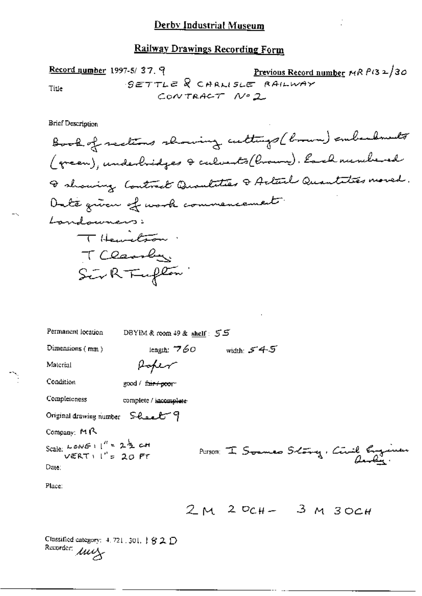Record number 1997-5/ 37.9 Previous Record number MR P(32/30  
Title 
$$
9ETTLE
$$
 Q CHRLISE RAHWRY

 $\overline{\phantom{a}}$ 

÷,

| Permanent location                                                        | DBYIM& room 49 & shelf: 55       |              |                                           |
|---------------------------------------------------------------------------|----------------------------------|--------------|-------------------------------------------|
| Dimensions (mm)                                                           | length: $760$                    | width: $545$ |                                           |
| Material                                                                  | Roper                            |              |                                           |
| Condition                                                                 | good / f <del>air / poo</del> r- |              |                                           |
| Completeness                                                              | complete / incomplete            |              |                                           |
| Original drawing number $S$ - <i>ft-a-ft</i> $\gamma$                     |                                  |              |                                           |
| Company: $M \uparrow$                                                     |                                  |              |                                           |
| Scale: $L \circ N \in \{1\}^n = 2\frac{1}{2}$ c.H<br>VERT : $1^n = 20$ PT |                                  |              | Parson: I Soumes Schoong, Circle Engineer |
| Date:                                                                     |                                  |              |                                           |
| Place:                                                                    |                                  |              |                                           |
|                                                                           |                                  |              | $2M$ $2Q_{CH} - 3M3OCH$                   |
| Classified category: $4.721.301.$ $92.$ $D$<br>Recorder: Muy              |                                  |              |                                           |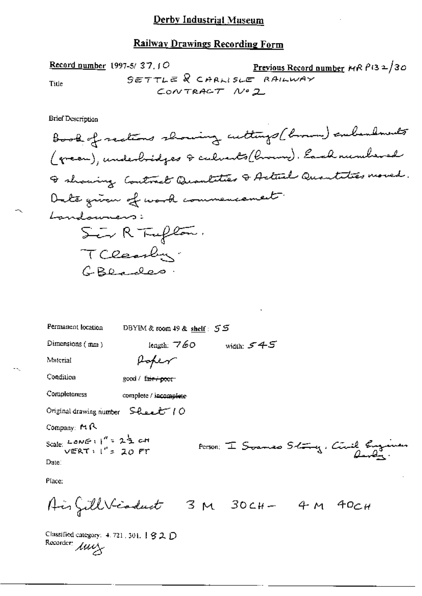Record number 1997-5/ 37.10  
Set 
$$
T = 8
$$
 C  $R = 8$  A  $L = 8$  A  $L = 8$  A  $L = 8$  A  $L = 8$  A  $L = 8$  A  $L = 8$  A  $L = 8$  A  $L = 8$  A  $L = 8$  A  $L = 8$  A  $L = 8$  A  $L = 8$  A  $L = 8$  A  $L = 8$  A  $L = 8$  A  $L = 8$  A  $L = 8$  A  $L = 8$  B  $L = 8$  B  $L = 8$  B  $L = 8$  C  $R = 8$  A  $L = 8$  B  $L = 8$  C  $R = 8$  A  $L = 8$  B  $L = 8$  B  $L = 8$  C  $R = 8$  C  $R = 8$  C  $R = 8$  C  $R = 8$  C  $R = 8$  C  $R = 8$  C  $R = 8$  C  $R = 8$  C  $R = 8$  C  $R = 8$  C  $R = 8$  C  $R = 8$  C  $R = 8$  C  $R = 8$  C  $R = 8$  C  $R = 8$  C  $R = 8$  C  $R = 8$  C  $R = 8$  C  $R = 8$  C  $R = 8$  C  $R = 8$  C  $R = 8$ 

| Permanent location                                                      | DBYIM & room 49 & shelf: 55        |              |                                         |
|-------------------------------------------------------------------------|------------------------------------|--------------|-----------------------------------------|
| Dimensions $(mn)$                                                       | length: $760$                      | width: $545$ |                                         |
| Material                                                                | foker                              |              |                                         |
| Condition                                                               | good / fair / poor                 |              |                                         |
| Completeness                                                            | complete / incomplete              |              |                                         |
| Original drawing number $S$ heart $10$                                  |                                    |              |                                         |
| Company: $M \wedge$                                                     |                                    |              |                                         |
| Scale: LONE : $1'' = 2\frac{1}{2}$ cit<br>VERT : $1'' = 20$ FT<br>Date: |                                    |              | Person: I Soames Sting, Circil Engineer |
| Place:                                                                  |                                    |              |                                         |
|                                                                         | AirfillVicaduct 3 M 30CH- 4 M 40CH |              |                                         |
| Classified category: 4.721, 301, 1 S 2, D<br>Recorder: Muy              |                                    |              |                                         |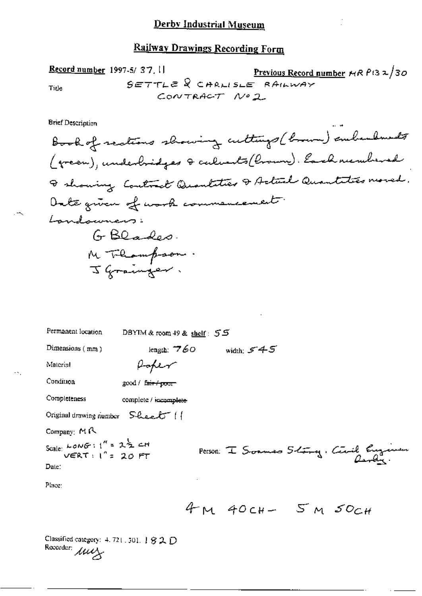Record number 1997-5/ 37.1  
\n
$$
5 \in 7 + L \in \mathbb{R}
$$
  $\subset$  *ARALISE RAILWAY*  
\n
$$
5 \in 7 + L \in \mathbb{R}
$$
  $\subset$  *ARILSLE RAILWAY*

Ì.

Brief Description

 $\sim$ 

 $\sim$  .

| Permanent location                                                | DBYIM & room $49$ & shelf: $55$ |                      |                                           |
|-------------------------------------------------------------------|---------------------------------|----------------------|-------------------------------------------|
| Dimensions $(mn)$                                                 | length: $760$                   | width: $545$         |                                           |
| Material                                                          | Hoper                           |                      |                                           |
| Condition                                                         | good / fair / poor              |                      |                                           |
| Completeness                                                      | complete / incomplete           |                      |                                           |
| Original drawing number $S$ leel <sup>t</sup> $\left( \right)$    |                                 |                      |                                           |
| Company: $M \beta$                                                |                                 |                      |                                           |
| Scale: LONG: $1'' = 22$ cH<br>VERT: $1'' = 20$ FT                 |                                 |                      | Person: I Scannes 5-toing, Civil Engineer |
| Date:                                                             |                                 |                      |                                           |
| Place:                                                            |                                 |                      |                                           |
|                                                                   |                                 | 4 M 40 CH- 5 M 50 CH |                                           |
| Classified category: $4.721.501.$ $92.0$<br>Recorder: $\mu\omega$ |                                 |                      |                                           |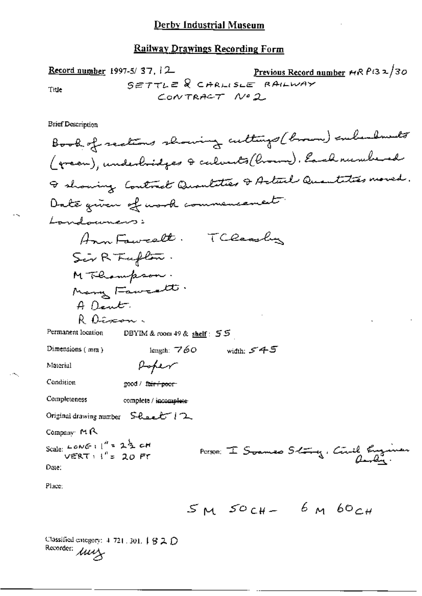Record number 1997-5/ 37, 12  
\n
$$
5 \in TTL \in \mathbb{R}
$$
 
$$
CHAPTER ALWAY
$$
\n
$$
5 \in TTL \in \mathbb{R}
$$
 
$$
1 \times 2
$$
\n
$$
1 \times 2
$$

**Brief Description** 

₹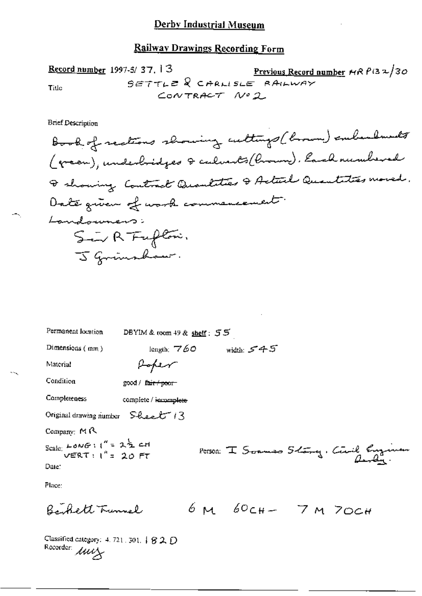Record number 1997-3/37, 13<br>  $S \in TTL \in \mathbb{R}$  CARLISLE RAILWAY Title CONTRACT Nº2

**Brief Description** 

| Permanent location                                                 | DBYIM & room 49 & shelf: 55 |                   |                                         |
|--------------------------------------------------------------------|-----------------------------|-------------------|-----------------------------------------|
| Dimensions $(mm)$                                                  | length; $760$               | width: $545$      |                                         |
| Material                                                           | Poper                       |                   |                                         |
| Condition                                                          | good / fair / poor-         |                   |                                         |
| Completeness                                                       | complete / incomplete       |                   |                                         |
| Original drawing number $S$ heet $13$                              |                             |                   |                                         |
| Company: $M \wedge$                                                |                             |                   |                                         |
| Scale: $L$ ONG: $1'' = 2\frac{1}{2}$ c.H<br>VERT: $1'' = 20$ FT    |                             |                   | Person: I Soumes 5-tong, Civil Engineer |
| Date:                                                              |                             |                   |                                         |
| Place:                                                             |                             |                   |                                         |
| Berkett Tunnel                                                     |                             | $6M60cH - 7M70cH$ |                                         |
| Classified category: 4, 721, 301, $\downarrow$ $\otimes$ 2, $\cap$ |                             |                   |                                         |

Recorder *Luce* ハーウムレ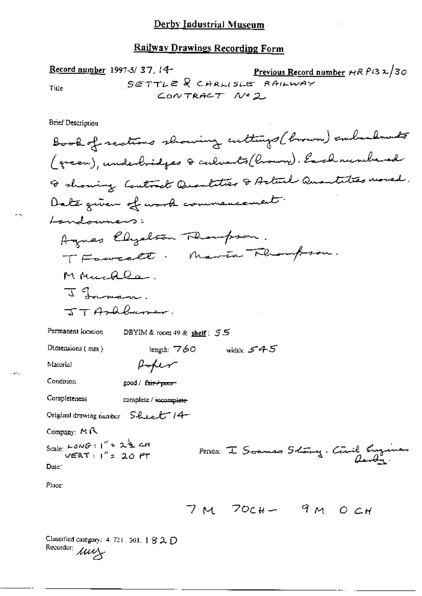17.5/37, 14<br>SETTLE & CARLISLE RAILWAY<br>CONTRACT Nº2 Record number 1997-5/37, 14-Title

Brief Description

Recorder: *AWA* 

-5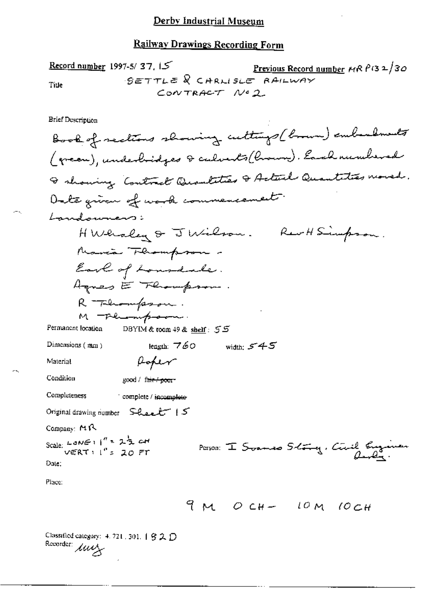| Record number | 1997-5/37, $15$     | Previous Record number | MR $\beta$ 32/30 |
|---------------|---------------------|------------------------|------------------|
| Title         | $9 \leq TTL \leq 8$ | CARLISE                | $RA/LWAY$        |
| COWTRACT      | $MeQ$               |                        |                  |

**Brief Description** 

 $\sim$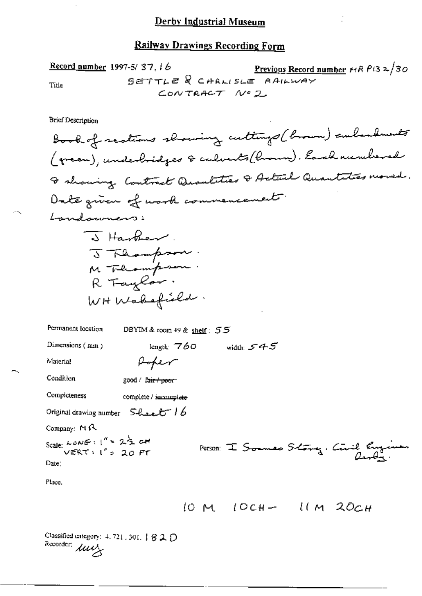|       | Record number 1997-5/37, $16$ | <u>Previous Record number</u> $HR P(32/30)$ |
|-------|-------------------------------|---------------------------------------------|
| Title |                               | $SETTLZ$ $R$ CARLISLE RAILWAY               |
|       | CONTRACT Nº 2                 |                                             |

**Brief Description** 

 $\cdot$ 

 $\frac{1}{2}$  and  $\frac{1}{2}$  and  $\frac{1}{2}$ 

Classified entegory:  $4.721,301, 182D$ <br>Recorder:  $\mu\nu\Delta$